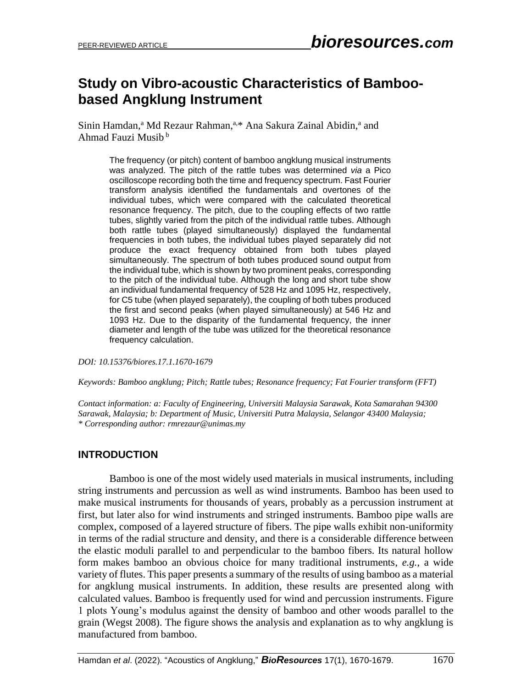# **Study on Vibro-acoustic Characteristics of Bamboobased Angklung Instrument**

Sinin Hamdan,<sup>a</sup> Md Rezaur Rahman,<sup>a,\*</sup> Ana Sakura Zainal Abidin,<sup>a</sup> and Ahmad Fauzi Musib <sup>b</sup>

> The frequency (or pitch) content of bamboo angklung musical instruments was analyzed. The pitch of the rattle tubes was determined *via* a Pico oscilloscope recording both the time and frequency spectrum. Fast Fourier transform analysis identified the fundamentals and overtones of the individual tubes, which were compared with the calculated theoretical resonance frequency. The pitch, due to the coupling effects of two rattle tubes, slightly varied from the pitch of the individual rattle tubes. Although both rattle tubes (played simultaneously) displayed the fundamental frequencies in both tubes, the individual tubes played separately did not produce the exact frequency obtained from both tubes played simultaneously. The spectrum of both tubes produced sound output from the individual tube, which is shown by two prominent peaks, corresponding to the pitch of the individual tube. Although the long and short tube show an individual fundamental frequency of 528 Hz and 1095 Hz, respectively, for C5 tube (when played separately), the coupling of both tubes produced the first and second peaks (when played simultaneously) at 546 Hz and 1093 Hz. Due to the disparity of the fundamental frequency, the inner diameter and length of the tube was utilized for the theoretical resonance frequency calculation.

*DOI: 10.15376/biores.17.1.1670-1679*

*Keywords: Bamboo angklung; Pitch; Rattle tubes; Resonance frequency; Fat Fourier transform (FFT)*

*Contact information: a: Faculty of Engineering, Universiti Malaysia Sarawak, Kota Samarahan 94300 Sarawak, Malaysia; b: Department of Music, Universiti Putra Malaysia, Selangor 43400 Malaysia; \* Corresponding author: rmrezaur@unimas.my*

### **INTRODUCTION**

Bamboo is one of the most widely used materials in musical instruments, including string instruments and percussion as well as wind instruments. Bamboo has been used to make musical instruments for thousands of years, probably as a percussion instrument at first, but later also for wind instruments and stringed instruments. Bamboo pipe walls are complex, composed of a layered structure of fibers. The pipe walls exhibit non-uniformity in terms of the radial structure and density, and there is a considerable difference between the elastic moduli parallel to and perpendicular to the bamboo fibers. Its natural hollow form makes bamboo an obvious choice for many traditional instruments, *e.g.*, a wide variety of flutes. This paper presents a summary of the results of using bamboo as a material for angklung musical instruments. In addition, these results are presented along with calculated values. Bamboo is frequently used for wind and percussion instruments. Figure 1 plots Young's modulus against the density of bamboo and other woods parallel to the grain (Wegst 2008). The figure shows the analysis and explanation as to why angklung is manufactured from bamboo.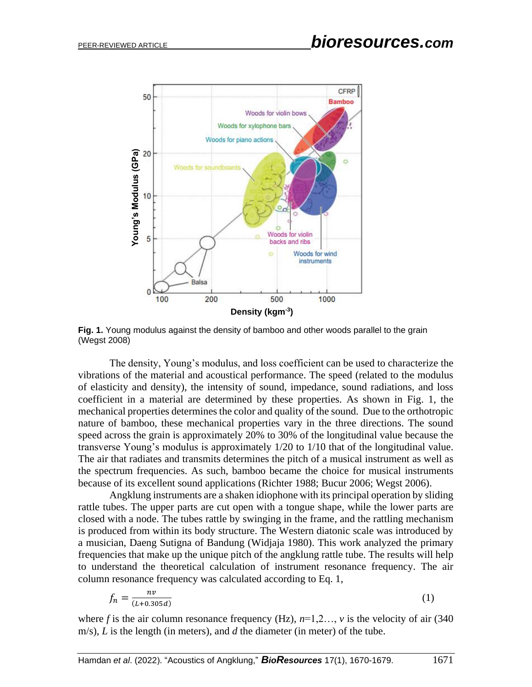

**Fig. 1.** Young modulus against the density of bamboo and other woods parallel to the grain (Wegst 2008)

The density, Young's modulus, and loss coefficient can be used to characterize the vibrations of the material and acoustical performance. The speed (related to the modulus of elasticity and density), the intensity of sound, impedance, sound radiations, and loss coefficient in a material are determined by these properties. As shown in Fig. 1, the mechanical properties determines the color and quality of the sound. Due to the orthotropic nature of bamboo, these mechanical properties vary in the three directions. The sound speed across the grain is approximately 20% to 30% of the longitudinal value because the transverse Young's modulus is approximately 1/20 to 1/10 that of the longitudinal value. The air that radiates and transmits determines the pitch of a musical instrument as well as the spectrum frequencies. As such, bamboo became the choice for musical instruments because of its excellent sound applications (Richter 1988; Bucur 2006; Wegst 2006).

Angklung instruments are a shaken idiophone with its principal operation by sliding rattle tubes. The upper parts are cut open with a tongue shape, while the lower parts are closed with a node. The tubes rattle by swinging in the frame, and the rattling mechanism is produced from within its body structure. The Western diatonic scale was introduced by a musician, Daeng Sutigna of Bandung (Widjaja 1980). This work analyzed the primary frequencies that make up the unique pitch of the angklung rattle tube. The results will help to understand the theoretical calculation of instrument resonance frequency. The air column resonance frequency was calculated according to Eq. 1,

$$
f_n = \frac{nv}{(L+0.305d)}\tag{1}
$$

where *f* is the air column resonance frequency (Hz),  $n=1,2...$ , *v* is the velocity of air (340)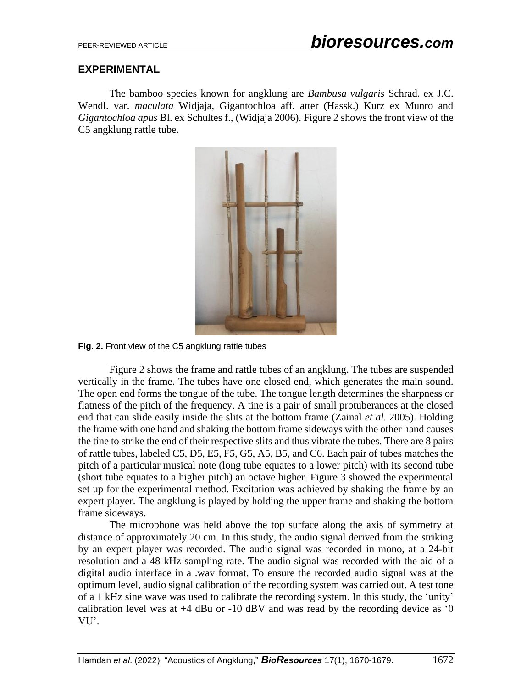### **EXPERIMENTAL**

The bamboo species known for angklung are *Bambusa vulgaris* Schrad. ex J.C. Wendl. var. *maculata* Widjaja, Gigantochloa aff. atter (Hassk.) Kurz ex Munro and *Gigantochloa apus* Bl. ex Schultes f., (Widjaja 2006). Figure 2 shows the front view of the C5 angklung rattle tube.



**Fig. 2.** Front view of the C5 angklung rattle tubes

Figure 2 shows the frame and rattle tubes of an angklung. The tubes are suspended vertically in the frame. The tubes have one closed end, which generates the main sound. The open end forms the tongue of the tube. The tongue length determines the sharpness or flatness of the pitch of the frequency. A tine is a pair of small protuberances at the closed end that can slide easily inside the slits at the bottom frame (Zainal *et al.* 2005). Holding the frame with one hand and shaking the bottom frame sideways with the other hand causes the tine to strike the end of their respective slits and thus vibrate the tubes. There are 8 pairs of rattle tubes, labeled C5, D5, E5, F5, G5, A5, B5, and C6. Each pair of tubes matches the pitch of a particular musical note (long tube equates to a lower pitch) with its second tube (short tube equates to a higher pitch) an octave higher. Figure 3 showed the experimental set up for the experimental method. Excitation was achieved by shaking the frame by an expert player. The angklung is played by holding the upper frame and shaking the bottom frame sideways.

The microphone was held above the top surface along the axis of symmetry at distance of approximately 20 cm. In this study, the audio signal derived from the striking by an expert player was recorded. The audio signal was recorded in mono, at a 24-bit resolution and a 48 kHz sampling rate. The audio signal was recorded with the aid of a digital audio interface in a .wav format. To ensure the recorded audio signal was at the optimum level, audio signal calibration of the recording system was carried out. A test tone of a 1 kHz sine wave was used to calibrate the recording system. In this study, the 'unity' calibration level was at  $+4$  dBu or  $-10$  dBV and was read by the recording device as '0 VU'.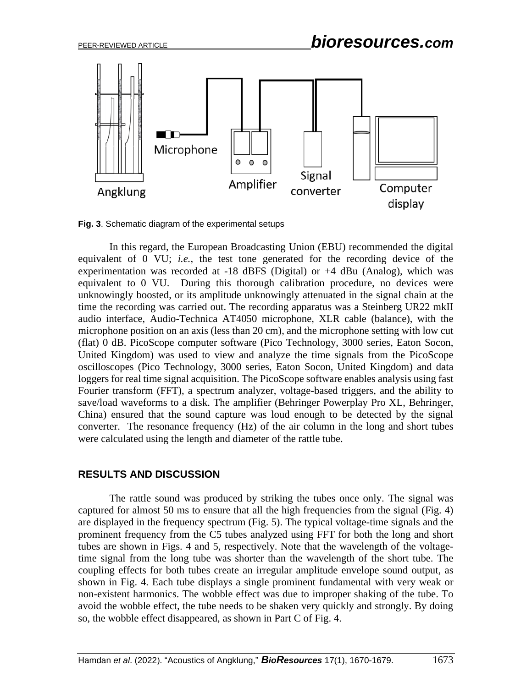

**Fig. 3**. Schematic diagram of the experimental setups

In this regard, the European Broadcasting Union (EBU) recommended the digital equivalent of 0 VU; *i.e.*, the test tone generated for the recording device of the experimentation was recorded at -18 dBFS (Digital) or +4 dBu (Analog), which was equivalent to 0 VU. During this thorough calibration procedure, no devices were unknowingly boosted, or its amplitude unknowingly attenuated in the signal chain at the time the recording was carried out. The recording apparatus was a Steinberg UR22 mkII audio interface, Audio-Technica AT4050 microphone, XLR cable (balance), with the microphone position on an axis (less than 20 cm), and the microphone setting with low cut (flat) 0 dB. PicoScope computer software (Pico Technology, 3000 series, Eaton Socon, United Kingdom) was used to view and analyze the time signals from the PicoScope oscilloscopes (Pico Technology, 3000 series, Eaton Socon, United Kingdom) and data loggers for real time signal acquisition. The PicoScope software enables analysis using fast Fourier transform (FFT), a spectrum analyzer, voltage-based triggers, and the ability to save/load waveforms to a disk. The amplifier (Behringer Powerplay Pro XL, Behringer, China) ensured that the sound capture was loud enough to be detected by the signal converter. The resonance frequency (Hz) of the air column in the long and short tubes were calculated using the length and diameter of the rattle tube.

#### **RESULTS AND DISCUSSION**

The rattle sound was produced by striking the tubes once only. The signal was captured for almost 50 ms to ensure that all the high frequencies from the signal (Fig. 4) are displayed in the frequency spectrum (Fig. 5). The typical voltage-time signals and the prominent frequency from the C5 tubes analyzed using FFT for both the long and short tubes are shown in Figs. 4 and 5, respectively. Note that the wavelength of the voltagetime signal from the long tube was shorter than the wavelength of the short tube. The coupling effects for both tubes create an irregular amplitude envelope sound output, as shown in Fig. 4. Each tube displays a single prominent fundamental with very weak or non-existent harmonics. The wobble effect was due to improper shaking of the tube. To avoid the wobble effect, the tube needs to be shaken very quickly and strongly. By doing so, the wobble effect disappeared, as shown in Part C of Fig. 4.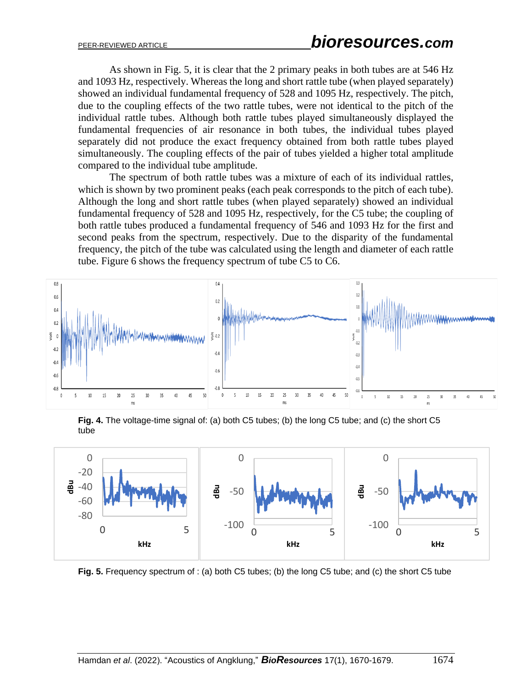As shown in Fig. 5, it is clear that the 2 primary peaks in both tubes are at 546 Hz and 1093 Hz, respectively. Whereas the long and short rattle tube (when played separately) showed an individual fundamental frequency of 528 and 1095 Hz, respectively. The pitch, due to the coupling effects of the two rattle tubes, were not identical to the pitch of the individual rattle tubes. Although both rattle tubes played simultaneously displayed the fundamental frequencies of air resonance in both tubes, the individual tubes played separately did not produce the exact frequency obtained from both rattle tubes played simultaneously. The coupling effects of the pair of tubes yielded a higher total amplitude compared to the individual tube amplitude.

The spectrum of both rattle tubes was a mixture of each of its individual rattles, which is shown by two prominent peaks (each peak corresponds to the pitch of each tube). Although the long and short rattle tubes (when played separately) showed an individual fundamental frequency of 528 and 1095 Hz, respectively, for the C5 tube; the coupling of both rattle tubes produced a fundamental frequency of 546 and 1093 Hz for the first and second peaks from the spectrum, respectively. Due to the disparity of the fundamental frequency, the pitch of the tube was calculated using the length and diameter of each rattle tube. Figure 6 shows the frequency spectrum of tube C5 to C6.



**Fig. 4.** The voltage-time signal of: (a) both C5 tubes; (b) the long C5 tube; and (c) the short C5 tube



**Fig. 5.** Frequency spectrum of : (a) both C5 tubes; (b) the long C5 tube; and (c) the short C5 tube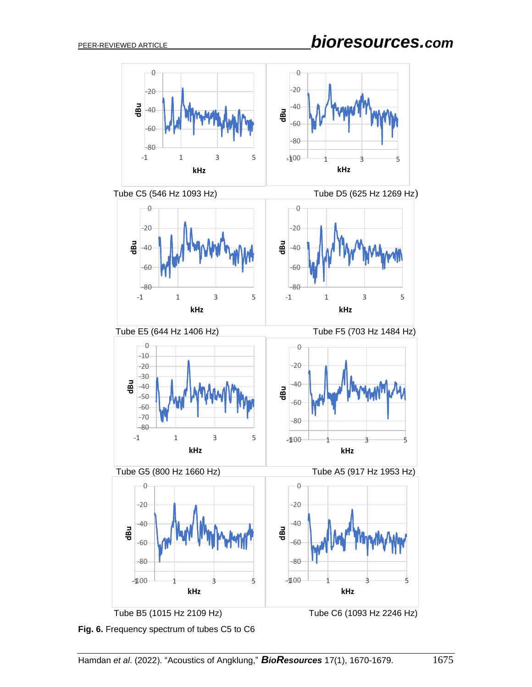# PEER-REVIEWED ARTICLE *bioresources.com*







Tube E5 (644 Hz 1406 Hz) Tube F5 (703 Hz 1484 Hz)



Tube G5 (800 Hz 1660 Hz) Tube A5 (917 Hz 1953 Hz)



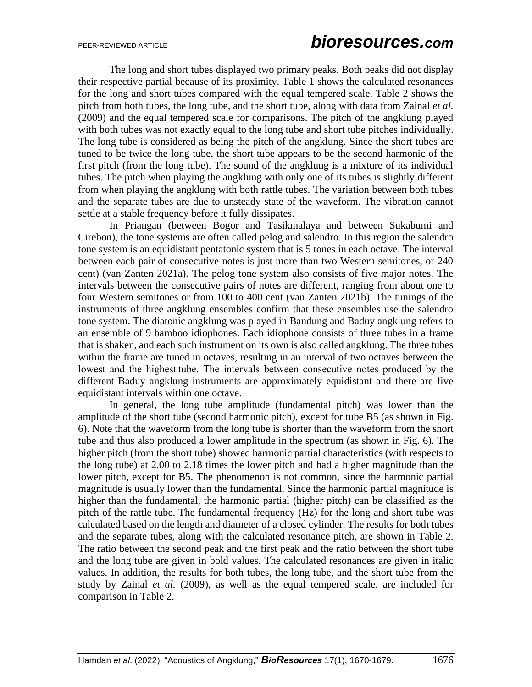The long and short tubes displayed two primary peaks. Both peaks did not display their respective partial because of its proximity. Table 1 shows the calculated resonances for the long and short tubes compared with the equal tempered scale. Table 2 shows the pitch from both tubes, the long tube, and the short tube, along with data from Zainal *et al.* (2009) and the equal tempered scale for comparisons. The pitch of the angklung played with both tubes was not exactly equal to the long tube and short tube pitches individually. The long tube is considered as being the pitch of the angklung. Since the short tubes are tuned to be twice the long tube, the short tube appears to be the second harmonic of the first pitch (from the long tube). The sound of the angklung is a mixture of its individual tubes. The pitch when playing the angklung with only one of its tubes is slightly different from when playing the angklung with both rattle tubes. The variation between both tubes and the separate tubes are due to unsteady state of the waveform. The vibration cannot settle at a stable frequency before it fully dissipates.

In Priangan (between Bogor and Tasikmalaya and between Sukabumi and Cirebon), the tone systems are often called pelog and salendro. In this region the salendro tone system is an equidistant pentatonic system that is 5 tones in each octave. The interval between each pair of consecutive notes is just more than two Western semitones, or 240 cent) (van Zanten 2021a). The pelog tone system also consists of five major notes. The intervals between the consecutive pairs of notes are different, ranging from about one to four Western semitones or from 100 to 400 cent (van Zanten 2021b). The tunings of the instruments of three angklung ensembles confirm that these ensembles use the salendro tone system. The diatonic angklung was played in Bandung and Baduy angklung refers to an ensemble of 9 bamboo idiophones. Each idiophone consists of three tubes in a frame that is shaken, and each such instrument on its own is also called angklung. The three tubes within the frame are tuned in octaves, resulting in an interval of two octaves between the lowest and the highest tube. The intervals between consecutive notes produced by the different Baduy angklung instruments are approximately equidistant and there are five equidistant intervals within one octave.

In general, the long tube amplitude (fundamental pitch) was lower than the amplitude of the short tube (second harmonic pitch), except for tube B5 (as shown in Fig. 6). Note that the waveform from the long tube is shorter than the waveform from the short tube and thus also produced a lower amplitude in the spectrum (as shown in Fig. 6). The higher pitch (from the short tube) showed harmonic partial characteristics (with respects to the long tube) at 2.00 to 2.18 times the lower pitch and had a higher magnitude than the lower pitch, except for B5. The phenomenon is not common, since the harmonic partial magnitude is usually lower than the fundamental. Since the harmonic partial magnitude is higher than the fundamental, the harmonic partial (higher pitch) can be classified as the pitch of the rattle tube. The fundamental frequency (Hz) for the long and short tube was calculated based on the length and diameter of a closed cylinder. The results for both tubes and the separate tubes, along with the calculated resonance pitch, are shown in Table 2. The ratio between the second peak and the first peak and the ratio between the short tube and the long tube are given in bold values. The calculated resonances are given in italic values. In addition, the results for both tubes, the long tube, and the short tube from the study by Zainal *et al.* (2009), as well as the equal tempered scale, are included for comparison in Table 2.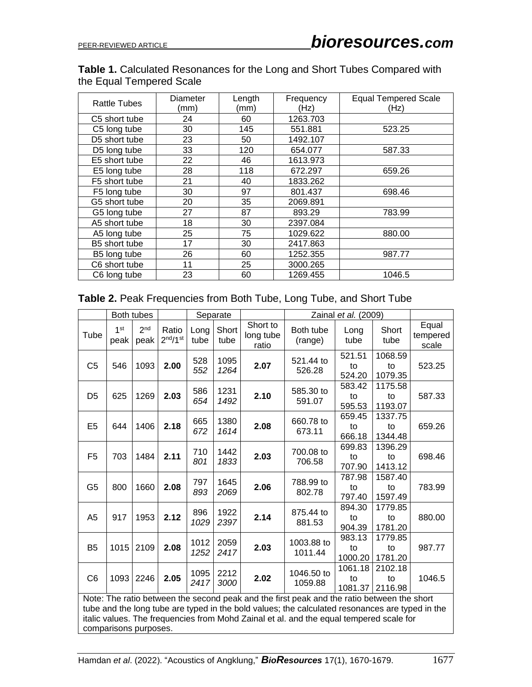### **Table 1.** Calculated Resonances for the Long and Short Tubes Compared with the Equal Tempered Scale

| <b>Rattle Tubes</b> | Diameter<br>(mm) | Length<br>(mm) | Frequency<br>(Hz) | <b>Equal Tempered Scale</b><br>(Hz) |  |
|---------------------|------------------|----------------|-------------------|-------------------------------------|--|
| 24<br>C5 short tube |                  | 60             | 1263.703          |                                     |  |
| C5 long tube        | 30               | 145            | 551.881           | 523.25                              |  |
| D5 short tube       | 23               | 50             | 1492.107          |                                     |  |
| D5 long tube        | 33               | 120            | 654.077           | 587.33                              |  |
| E5 short tube       | 22               | 46             | 1613.973          |                                     |  |
| E5 long tube        | 28               | 118            | 672.297           | 659.26                              |  |
| F5 short tube       | 21               | 40             | 1833.262          |                                     |  |
| F5 long tube        | 30               | 97             | 801.437           | 698.46                              |  |
| G5 short tube       | 20               | 35             | 2069.891          |                                     |  |
| G5 long tube        | 27               | 87             | 893.29            | 783.99                              |  |
| A5 short tube       | 18               | 30             | 2397.084          |                                     |  |
| A5 long tube        | 25               | 75             | 1029.622          | 880.00                              |  |
| B5 short tube       | 17               | 30             | 2417.863          |                                     |  |
| B5 long tube        | 26               | 60             | 1252.355          | 987.77                              |  |
| C6 short tube       | 11               | 25             | 3000.265          |                                     |  |
| C6 long tube        | 23               | 60             | 1269.455          | 1046.5                              |  |

| Table 2. Peak Frequencies from Both Tube, Long Tube, and Short Tube |  |  |  |
|---------------------------------------------------------------------|--|--|--|
|---------------------------------------------------------------------|--|--|--|

|                                                                                                                                                                                                                                                                                                                   | Both tubes              |                         |                                           | Separate     |               |                                | Zainal et al. (2009)  |                          |                          |                            |
|-------------------------------------------------------------------------------------------------------------------------------------------------------------------------------------------------------------------------------------------------------------------------------------------------------------------|-------------------------|-------------------------|-------------------------------------------|--------------|---------------|--------------------------------|-----------------------|--------------------------|--------------------------|----------------------------|
| Tube                                                                                                                                                                                                                                                                                                              | 1 <sup>st</sup><br>peak | 2 <sub>nd</sub><br>peak | Ratio<br>2 <sup>nd</sup> /1 <sup>st</sup> | Long<br>tube | Short<br>tube | Short to<br>long tube<br>ratio | Both tube<br>(range)  | Long<br>tube             | Short<br>tube            | Equal<br>tempered<br>scale |
| C <sub>5</sub>                                                                                                                                                                                                                                                                                                    | 546                     | 1093                    | 2.00                                      | 528<br>552   | 1095<br>1264  | 2.07                           | 521.44 to<br>526.28   | 521.51<br>to<br>524.20   | 1068.59<br>to<br>1079.35 | 523.25                     |
| D <sub>5</sub>                                                                                                                                                                                                                                                                                                    | 625                     | 1269                    | 2.03                                      | 586<br>654   | 1231<br>1492  | 2.10                           | 585.30 to<br>591.07   | 583.42<br>to<br>595.53   | 1175.58<br>to<br>1193.07 | 587.33                     |
| E <sub>5</sub>                                                                                                                                                                                                                                                                                                    | 644                     | 1406                    | 2.18                                      | 665<br>672   | 1380<br>1614  | 2.08                           | 660.78 to<br>673.11   | 659.45<br>to<br>666.18   | 1337.75<br>to<br>1344.48 | 659.26                     |
| F <sub>5</sub>                                                                                                                                                                                                                                                                                                    | 703                     | 1484                    | 2.11                                      | 710<br>801   | 1442<br>1833  | 2.03                           | 700.08 to<br>706.58   | 699.83<br>to<br>707.90   | 1396.29<br>to<br>1413.12 | 698.46                     |
| G <sub>5</sub>                                                                                                                                                                                                                                                                                                    | 800                     | 1660                    | 2.08                                      | 797<br>893   | 1645<br>2069  | 2.06                           | 788.99 to<br>802.78   | 787.98<br>to<br>797.40   | 1587.40<br>to<br>1597.49 | 783.99                     |
| A <sub>5</sub>                                                                                                                                                                                                                                                                                                    | 917                     | 1953                    | 2.12                                      | 896<br>1029  | 1922<br>2397  | 2.14                           | 875.44 to<br>881.53   | 894.30<br>to<br>904.39   | 1779.85<br>to<br>1781.20 | 880.00                     |
| B <sub>5</sub>                                                                                                                                                                                                                                                                                                    | 1015                    | 2109                    | 2.08                                      | 1012<br>1252 | 2059<br>2417  | 2.03                           | 1003.88 to<br>1011.44 | 983.13<br>to<br>1000.20  | 1779.85<br>to<br>1781.20 | 987.77                     |
| C <sub>6</sub>                                                                                                                                                                                                                                                                                                    | 1093                    | 2246                    | 2.05                                      | 1095<br>2417 | 2212<br>3000  | 2.02                           | 1046.50 to<br>1059.88 | 1061.18<br>to<br>1081.37 | 2102.18<br>to<br>2116.98 | 1046.5                     |
| Note: The ratio between the second peak and the first peak and the ratio between the short<br>tube and the long tube are typed in the bold values; the calculated resonances are typed in the<br>italic values. The frequencies from Mohd Zainal et al. and the equal tempered scale for<br>comparisons purposes. |                         |                         |                                           |              |               |                                |                       |                          |                          |                            |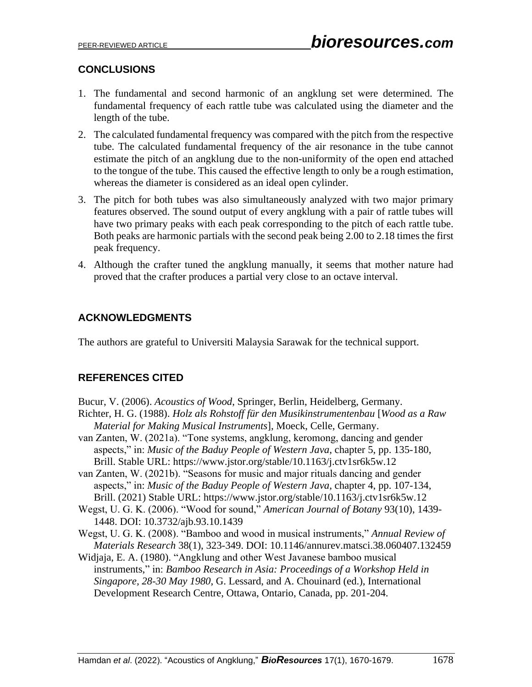## **CONCLUSIONS**

- 1. The fundamental and second harmonic of an angklung set were determined. The fundamental frequency of each rattle tube was calculated using the diameter and the length of the tube.
- 2. The calculated fundamental frequency was compared with the pitch from the respective tube. The calculated fundamental frequency of the air resonance in the tube cannot estimate the pitch of an angklung due to the non-uniformity of the open end attached to the tongue of the tube. This caused the effective length to only be a rough estimation, whereas the diameter is considered as an ideal open cylinder.
- 3. The pitch for both tubes was also simultaneously analyzed with two major primary features observed. The sound output of every angklung with a pair of rattle tubes will have two primary peaks with each peak corresponding to the pitch of each rattle tube. Both peaks are harmonic partials with the second peak being 2.00 to 2.18 times the first peak frequency.
- 4. Although the crafter tuned the angklung manually, it seems that mother nature had proved that the crafter produces a partial very close to an octave interval.

### **ACKNOWLEDGMENTS**

The authors are grateful to Universiti Malaysia Sarawak for the technical support.

### **REFERENCES CITED**

Bucur, V. (2006). *Acoustics of Wood*, Springer, Berlin, Heidelberg, Germany.

- Richter, H. G. (1988). *Holz als Rohstoff für den Musikinstrumentenbau* [*Wood as a Raw Material for Making Musical Instruments*], Moeck, Celle, Germany.
- van Zanten, W. (2021a). "Tone systems, angklung, keromong, dancing and gender aspects," in: *Music of the Baduy People of Western Java*, chapter 5, pp. 135-180, Brill. Stable URL: https://www.jstor.org/stable/10.1163/j.ctv1sr6k5w.12
- van Zanten, W. (2021b). "Seasons for music and major rituals dancing and gender aspects," in: *Music of the Baduy People of Western Java*, chapter 4, pp. 107-134, Brill. (2021) Stable URL: https://www.jstor.org/stable/10.1163/j.ctv1sr6k5w.12
- Wegst, U. G. K. (2006). "Wood for sound," *American Journal of Botany* 93(10), 1439- 1448. DOI: 10.3732/ajb.93.10.1439
- Wegst, U. G. K. (2008). "Bamboo and wood in musical instruments," *Annual Review of Materials Research* 38(1), 323-349. DOI: 10.1146/annurev.matsci.38.060407.132459
- Widjaja, E. A. (1980). "Angklung and other West Javanese bamboo musical instruments," in: *Bamboo Research in Asia: Proceedings of a Workshop Held in Singapore, 28-30 May 1980*, G. Lessard, and A. Chouinard (ed.), International Development Research Centre, Ottawa, Ontario, Canada, pp. 201-204.